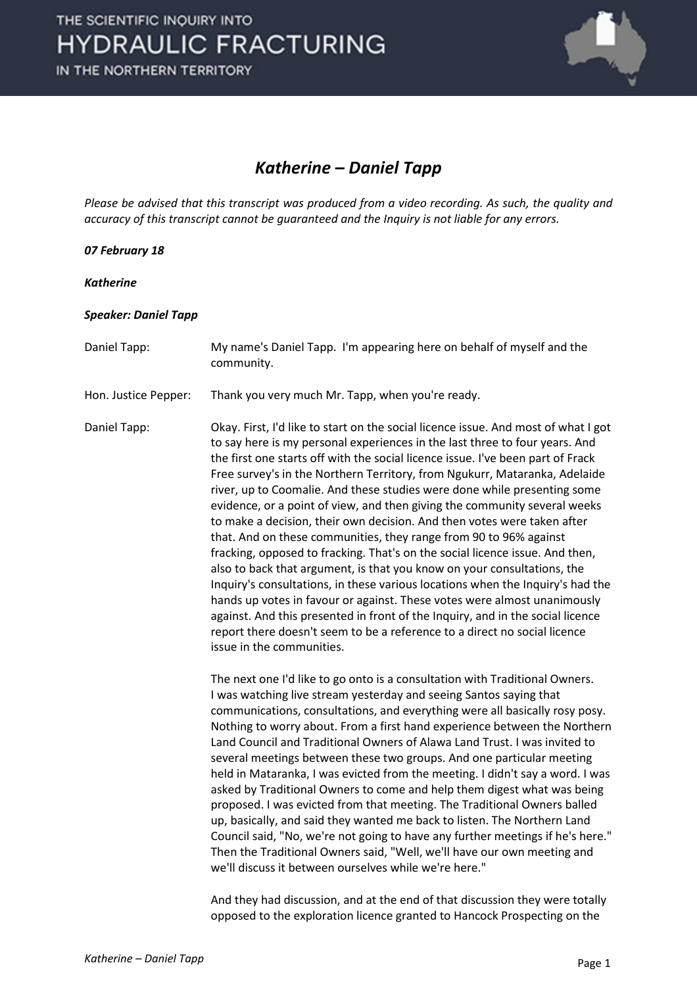

### *Katherine – Daniel Tapp*

*Please be advised that this transcript was produced from a video recording. As such, the quality and accuracy of this transcript cannot be guaranteed and the Inquiry is not liable for any errors.*

#### *07 February 18*

*Katherine*

#### *Speaker: Daniel Tapp*

Daniel Tapp: My name's Daniel Tapp. I'm appearing here on behalf of myself and the community.

Hon. Justice Pepper: Thank you very much Mr. Tapp, when you're ready.

Daniel Tapp: Okay. First, I'd like to start on the social licence issue. And most of what I got to say here is my personal experiences in the last three to four years. And the first one starts off with the social licence issue. I've been part of Frack Free survey's in the Northern Territory, from Ngukurr, Mataranka, Adelaide river, up to Coomalie. And these studies were done while presenting some evidence, or a point of view, and then giving the community several weeks to make a decision, their own decision. And then votes were taken after that. And on these communities, they range from 90 to 96% against fracking, opposed to fracking. That's on the social licence issue. And then, also to back that argument, is that you know on your consultations, the Inquiry's consultations, in these various locations when the Inquiry's had the hands up votes in favour or against. These votes were almost unanimously against. And this presented in front of the Inquiry, and in the social licence report there doesn't seem to be a reference to a direct no social licence issue in the communities.

> The next one I'd like to go onto is a consultation with Traditional Owners. I was watching live stream yesterday and seeing Santos saying that communications, consultations, and everything were all basically rosy posy. Nothing to worry about. From a first hand experience between the Northern Land Council and Traditional Owners of Alawa Land Trust. I was invited to several meetings between these two groups. And one particular meeting held in Mataranka, I was evicted from the meeting. I didn't say a word. I was asked by Traditional Owners to come and help them digest what was being proposed. I was evicted from that meeting. The Traditional Owners balled up, basically, and said they wanted me back to listen. The Northern Land Council said, "No, we're not going to have any further meetings if he's here." Then the Traditional Owners said, "Well, we'll have our own meeting and we'll discuss it between ourselves while we're here."

And they had discussion, and at the end of that discussion they were totally opposed to the exploration licence granted to Hancock Prospecting on the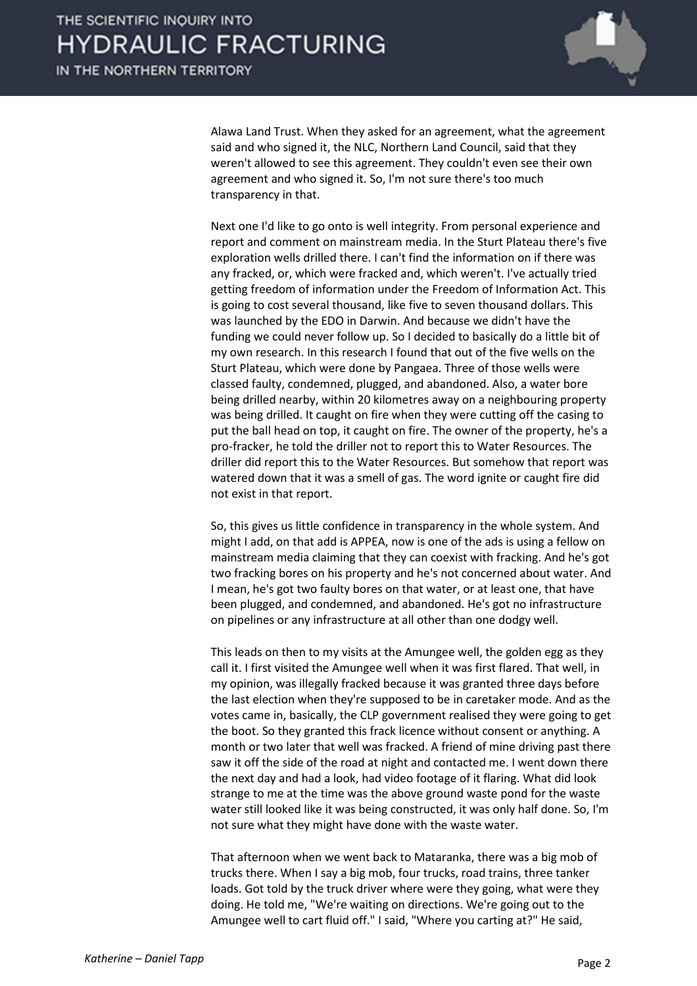

Alawa Land Trust. When they asked for an agreement, what the agreement said and who signed it, the NLC, Northern Land Council, said that they weren't allowed to see this agreement. They couldn't even see their own agreement and who signed it. So, I'm not sure there's too much transparency in that.

Next one I'd like to go onto is well integrity. From personal experience and report and comment on mainstream media. In the Sturt Plateau there's five exploration wells drilled there. I can't find the information on if there was any fracked, or, which were fracked and, which weren't. I've actually tried getting freedom of information under the Freedom of Information Act. This is going to cost several thousand, like five to seven thousand dollars. This was launched by the EDO in Darwin. And because we didn't have the funding we could never follow up. So I decided to basically do a little bit of my own research. In this research I found that out of the five wells on the Sturt Plateau, which were done by Pangaea. Three of those wells were classed faulty, condemned, plugged, and abandoned. Also, a water bore being drilled nearby, within 20 kilometres away on a neighbouring property was being drilled. It caught on fire when they were cutting off the casing to put the ball head on top, it caught on fire. The owner of the property, he's a pro-fracker, he told the driller not to report this to Water Resources. The driller did report this to the Water Resources. But somehow that report was watered down that it was a smell of gas. The word ignite or caught fire did not exist in that report.

So, this gives us little confidence in transparency in the whole system. And might I add, on that add is APPEA, now is one of the ads is using a fellow on mainstream media claiming that they can coexist with fracking. And he's got two fracking bores on his property and he's not concerned about water. And I mean, he's got two faulty bores on that water, or at least one, that have been plugged, and condemned, and abandoned. He's got no infrastructure on pipelines or any infrastructure at all other than one dodgy well.

This leads on then to my visits at the Amungee well, the golden egg as they call it. I first visited the Amungee well when it was first flared. That well, in my opinion, was illegally fracked because it was granted three days before the last election when they're supposed to be in caretaker mode. And as the votes came in, basically, the CLP government realised they were going to get the boot. So they granted this frack licence without consent or anything. A month or two later that well was fracked. A friend of mine driving past there saw it off the side of the road at night and contacted me. I went down there the next day and had a look, had video footage of it flaring. What did look strange to me at the time was the above ground waste pond for the waste water still looked like it was being constructed, it was only half done. So, I'm not sure what they might have done with the waste water.

That afternoon when we went back to Mataranka, there was a big mob of trucks there. When I say a big mob, four trucks, road trains, three tanker loads. Got told by the truck driver where were they going, what were they doing. He told me, "We're waiting on directions. We're going out to the Amungee well to cart fluid off." I said, "Where you carting at?" He said,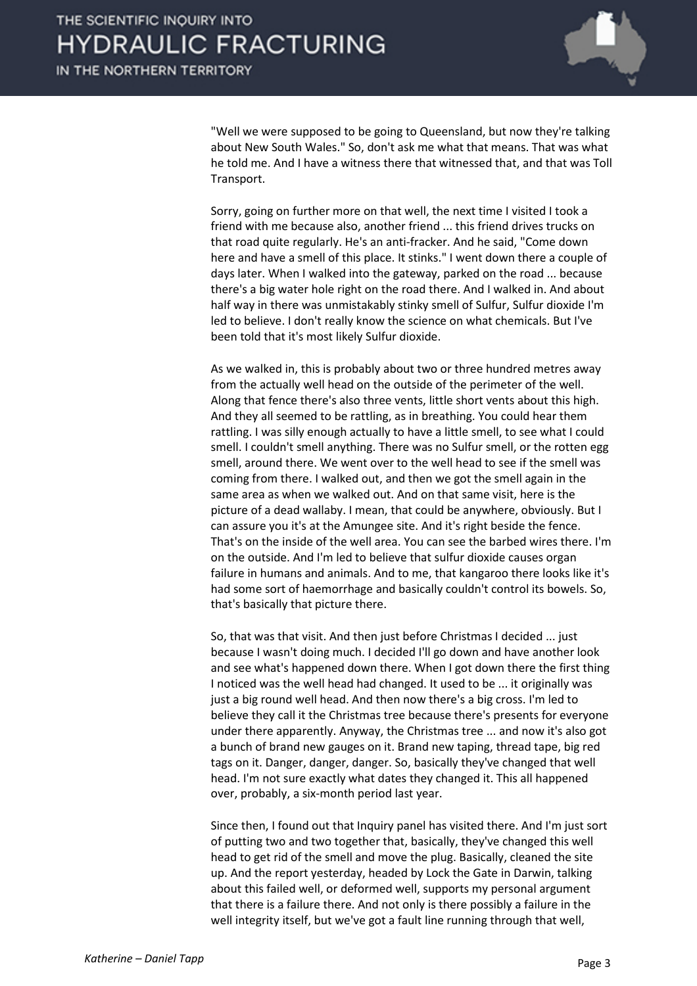

"Well we were supposed to be going to Queensland, but now they're talking about New South Wales." So, don't ask me what that means. That was what he told me. And I have a witness there that witnessed that, and that was Toll Transport.

Sorry, going on further more on that well, the next time I visited I took a friend with me because also, another friend ... this friend drives trucks on that road quite regularly. He's an anti-fracker. And he said, "Come down here and have a smell of this place. It stinks." I went down there a couple of days later. When I walked into the gateway, parked on the road ... because there's a big water hole right on the road there. And I walked in. And about half way in there was unmistakably stinky smell of Sulfur, Sulfur dioxide I'm led to believe. I don't really know the science on what chemicals. But I've been told that it's most likely Sulfur dioxide.

As we walked in, this is probably about two or three hundred metres away from the actually well head on the outside of the perimeter of the well. Along that fence there's also three vents, little short vents about this high. And they all seemed to be rattling, as in breathing. You could hear them rattling. I was silly enough actually to have a little smell, to see what I could smell. I couldn't smell anything. There was no Sulfur smell, or the rotten egg smell, around there. We went over to the well head to see if the smell was coming from there. I walked out, and then we got the smell again in the same area as when we walked out. And on that same visit, here is the picture of a dead wallaby. I mean, that could be anywhere, obviously. But I can assure you it's at the Amungee site. And it's right beside the fence. That's on the inside of the well area. You can see the barbed wires there. I'm on the outside. And I'm led to believe that sulfur dioxide causes organ failure in humans and animals. And to me, that kangaroo there looks like it's had some sort of haemorrhage and basically couldn't control its bowels. So, that's basically that picture there.

So, that was that visit. And then just before Christmas I decided ... just because I wasn't doing much. I decided I'll go down and have another look and see what's happened down there. When I got down there the first thing I noticed was the well head had changed. It used to be ... it originally was just a big round well head. And then now there's a big cross. I'm led to believe they call it the Christmas tree because there's presents for everyone under there apparently. Anyway, the Christmas tree ... and now it's also got a bunch of brand new gauges on it. Brand new taping, thread tape, big red tags on it. Danger, danger, danger. So, basically they've changed that well head. I'm not sure exactly what dates they changed it. This all happened over, probably, a six-month period last year.

Since then, I found out that Inquiry panel has visited there. And I'm just sort of putting two and two together that, basically, they've changed this well head to get rid of the smell and move the plug. Basically, cleaned the site up. And the report yesterday, headed by Lock the Gate in Darwin, talking about this failed well, or deformed well, supports my personal argument that there is a failure there. And not only is there possibly a failure in the well integrity itself, but we've got a fault line running through that well,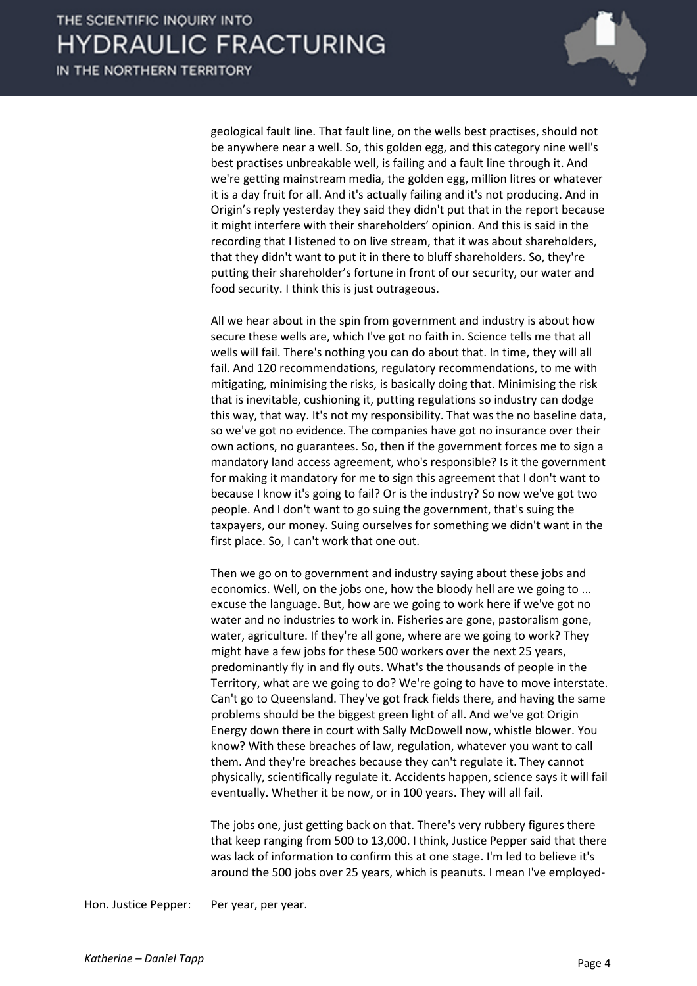

geological fault line. That fault line, on the wells best practises, should not be anywhere near a well. So, this golden egg, and this category nine well's best practises unbreakable well, is failing and a fault line through it. And we're getting mainstream media, the golden egg, million litres or whatever it is a day fruit for all. And it's actually failing and it's not producing. And in Origin's reply yesterday they said they didn't put that in the report because it might interfere with their shareholders' opinion. And this is said in the recording that I listened to on live stream, that it was about shareholders, that they didn't want to put it in there to bluff shareholders. So, they're putting their shareholder's fortune in front of our security, our water and food security. I think this is just outrageous.

All we hear about in the spin from government and industry is about how secure these wells are, which I've got no faith in. Science tells me that all wells will fail. There's nothing you can do about that. In time, they will all fail. And 120 recommendations, regulatory recommendations, to me with mitigating, minimising the risks, is basically doing that. Minimising the risk that is inevitable, cushioning it, putting regulations so industry can dodge this way, that way. It's not my responsibility. That was the no baseline data, so we've got no evidence. The companies have got no insurance over their own actions, no guarantees. So, then if the government forces me to sign a mandatory land access agreement, who's responsible? Is it the government for making it mandatory for me to sign this agreement that I don't want to because I know it's going to fail? Or is the industry? So now we've got two people. And I don't want to go suing the government, that's suing the taxpayers, our money. Suing ourselves for something we didn't want in the first place. So, I can't work that one out.

Then we go on to government and industry saying about these jobs and economics. Well, on the jobs one, how the bloody hell are we going to ... excuse the language. But, how are we going to work here if we've got no water and no industries to work in. Fisheries are gone, pastoralism gone, water, agriculture. If they're all gone, where are we going to work? They might have a few jobs for these 500 workers over the next 25 years, predominantly fly in and fly outs. What's the thousands of people in the Territory, what are we going to do? We're going to have to move interstate. Can't go to Queensland. They've got frack fields there, and having the same problems should be the biggest green light of all. And we've got Origin Energy down there in court with Sally McDowell now, whistle blower. You know? With these breaches of law, regulation, whatever you want to call them. And they're breaches because they can't regulate it. They cannot physically, scientifically regulate it. Accidents happen, science says it will fail eventually. Whether it be now, or in 100 years. They will all fail.

The jobs one, just getting back on that. There's very rubbery figures there that keep ranging from 500 to 13,000. I think, Justice Pepper said that there was lack of information to confirm this at one stage. I'm led to believe it's around the 500 jobs over 25 years, which is peanuts. I mean I've employed-

Hon. Justice Pepper: Per year, per year.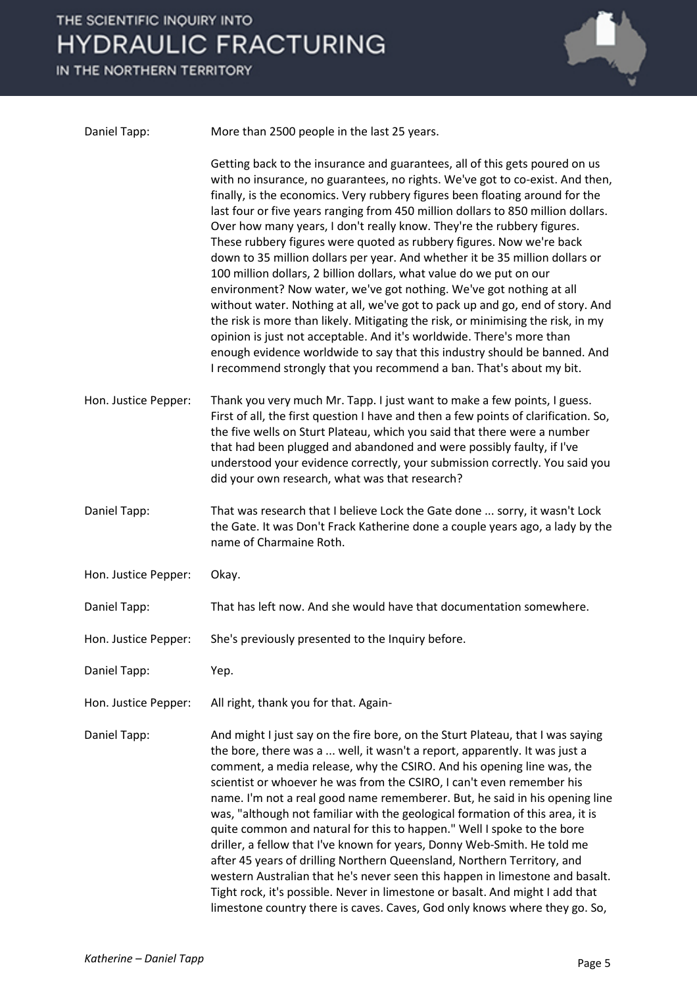IN THE NORTHERN TERRITORY



| Daniel Tapp:         | More than 2500 people in the last 25 years.                                                                                                                                                                                                                                                                                                                                                                                                                                                                                                                                                                                                                                                                                                                                                                                                                                                                                                                                                                                                                                                                        |
|----------------------|--------------------------------------------------------------------------------------------------------------------------------------------------------------------------------------------------------------------------------------------------------------------------------------------------------------------------------------------------------------------------------------------------------------------------------------------------------------------------------------------------------------------------------------------------------------------------------------------------------------------------------------------------------------------------------------------------------------------------------------------------------------------------------------------------------------------------------------------------------------------------------------------------------------------------------------------------------------------------------------------------------------------------------------------------------------------------------------------------------------------|
|                      | Getting back to the insurance and guarantees, all of this gets poured on us<br>with no insurance, no guarantees, no rights. We've got to co-exist. And then,<br>finally, is the economics. Very rubbery figures been floating around for the<br>last four or five years ranging from 450 million dollars to 850 million dollars.<br>Over how many years, I don't really know. They're the rubbery figures.<br>These rubbery figures were quoted as rubbery figures. Now we're back<br>down to 35 million dollars per year. And whether it be 35 million dollars or<br>100 million dollars, 2 billion dollars, what value do we put on our<br>environment? Now water, we've got nothing. We've got nothing at all<br>without water. Nothing at all, we've got to pack up and go, end of story. And<br>the risk is more than likely. Mitigating the risk, or minimising the risk, in my<br>opinion is just not acceptable. And it's worldwide. There's more than<br>enough evidence worldwide to say that this industry should be banned. And<br>I recommend strongly that you recommend a ban. That's about my bit. |
| Hon. Justice Pepper: | Thank you very much Mr. Tapp. I just want to make a few points, I guess.<br>First of all, the first question I have and then a few points of clarification. So,<br>the five wells on Sturt Plateau, which you said that there were a number<br>that had been plugged and abandoned and were possibly faulty, if I've<br>understood your evidence correctly, your submission correctly. You said you<br>did your own research, what was that research?                                                                                                                                                                                                                                                                                                                                                                                                                                                                                                                                                                                                                                                              |
| Daniel Tapp:         | That was research that I believe Lock the Gate done  sorry, it wasn't Lock<br>the Gate. It was Don't Frack Katherine done a couple years ago, a lady by the<br>name of Charmaine Roth.                                                                                                                                                                                                                                                                                                                                                                                                                                                                                                                                                                                                                                                                                                                                                                                                                                                                                                                             |
| Hon. Justice Pepper: | Okay.                                                                                                                                                                                                                                                                                                                                                                                                                                                                                                                                                                                                                                                                                                                                                                                                                                                                                                                                                                                                                                                                                                              |
| Daniel Tapp:         | That has left now. And she would have that documentation somewhere.                                                                                                                                                                                                                                                                                                                                                                                                                                                                                                                                                                                                                                                                                                                                                                                                                                                                                                                                                                                                                                                |
| Hon. Justice Pepper: | She's previously presented to the Inquiry before.                                                                                                                                                                                                                                                                                                                                                                                                                                                                                                                                                                                                                                                                                                                                                                                                                                                                                                                                                                                                                                                                  |
| Daniel Tapp:         | Yep.                                                                                                                                                                                                                                                                                                                                                                                                                                                                                                                                                                                                                                                                                                                                                                                                                                                                                                                                                                                                                                                                                                               |
| Hon. Justice Pepper: | All right, thank you for that. Again-                                                                                                                                                                                                                                                                                                                                                                                                                                                                                                                                                                                                                                                                                                                                                                                                                                                                                                                                                                                                                                                                              |
| Daniel Tapp:         | And might I just say on the fire bore, on the Sturt Plateau, that I was saying<br>the bore, there was a  well, it wasn't a report, apparently. It was just a<br>comment, a media release, why the CSIRO. And his opening line was, the<br>scientist or whoever he was from the CSIRO, I can't even remember his<br>name. I'm not a real good name rememberer. But, he said in his opening line<br>was, "although not familiar with the geological formation of this area, it is<br>quite common and natural for this to happen." Well I spoke to the bore<br>driller, a fellow that I've known for years, Donny Web-Smith. He told me<br>after 45 years of drilling Northern Queensland, Northern Territory, and<br>western Australian that he's never seen this happen in limestone and basalt.<br>Tight rock, it's possible. Never in limestone or basalt. And might I add that<br>limestone country there is caves. Caves, God only knows where they go. So,                                                                                                                                                    |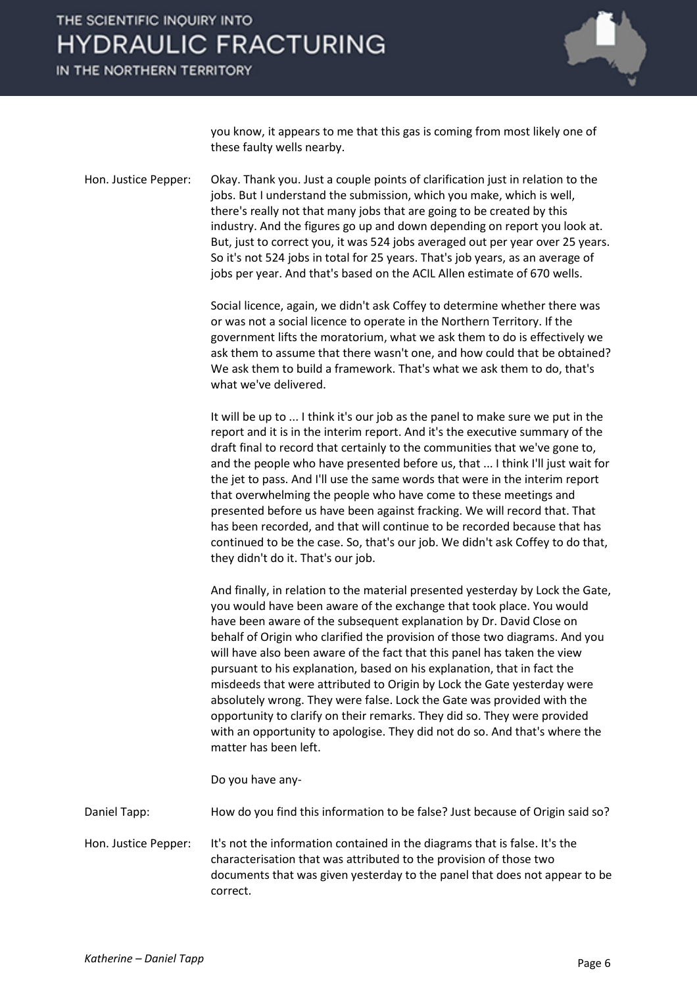IN THE NORTHERN TERRITORY



you know, it appears to me that this gas is coming from most likely one of these faulty wells nearby.

Hon. Justice Pepper: Okay. Thank you. Just a couple points of clarification just in relation to the jobs. But I understand the submission, which you make, which is well, there's really not that many jobs that are going to be created by this industry. And the figures go up and down depending on report you look at. But, just to correct you, it was 524 jobs averaged out per year over 25 years. So it's not 524 jobs in total for 25 years. That's job years, as an average of jobs per year. And that's based on the ACIL Allen estimate of 670 wells.

> Social licence, again, we didn't ask Coffey to determine whether there was or was not a social licence to operate in the Northern Territory. If the government lifts the moratorium, what we ask them to do is effectively we ask them to assume that there wasn't one, and how could that be obtained? We ask them to build a framework. That's what we ask them to do, that's what we've delivered.

> It will be up to ... I think it's our job as the panel to make sure we put in the report and it is in the interim report. And it's the executive summary of the draft final to record that certainly to the communities that we've gone to, and the people who have presented before us, that ... I think I'll just wait for the jet to pass. And I'll use the same words that were in the interim report that overwhelming the people who have come to these meetings and presented before us have been against fracking. We will record that. That has been recorded, and that will continue to be recorded because that has continued to be the case. So, that's our job. We didn't ask Coffey to do that, they didn't do it. That's our job.

> And finally, in relation to the material presented yesterday by Lock the Gate, you would have been aware of the exchange that took place. You would have been aware of the subsequent explanation by Dr. David Close on behalf of Origin who clarified the provision of those two diagrams. And you will have also been aware of the fact that this panel has taken the view pursuant to his explanation, based on his explanation, that in fact the misdeeds that were attributed to Origin by Lock the Gate yesterday were absolutely wrong. They were false. Lock the Gate was provided with the opportunity to clarify on their remarks. They did so. They were provided with an opportunity to apologise. They did not do so. And that's where the matter has been left.

Do you have any-

Daniel Tapp: How do you find this information to be false? Just because of Origin said so?

Hon. Justice Pepper: It's not the information contained in the diagrams that is false. It's the characterisation that was attributed to the provision of those two documents that was given yesterday to the panel that does not appear to be correct.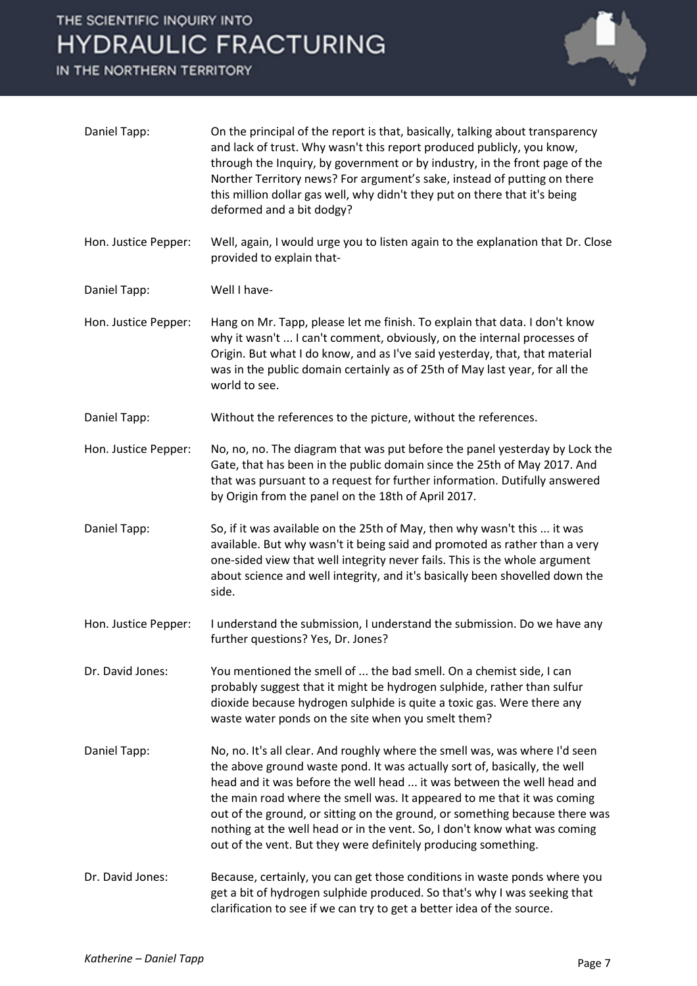IN THE NORTHERN TERRITORY



| Daniel Tapp:         | On the principal of the report is that, basically, talking about transparency<br>and lack of trust. Why wasn't this report produced publicly, you know,<br>through the Inquiry, by government or by industry, in the front page of the<br>Norther Territory news? For argument's sake, instead of putting on there<br>this million dollar gas well, why didn't they put on there that it's being<br>deformed and a bit dodgy?                                                                                                               |
|----------------------|---------------------------------------------------------------------------------------------------------------------------------------------------------------------------------------------------------------------------------------------------------------------------------------------------------------------------------------------------------------------------------------------------------------------------------------------------------------------------------------------------------------------------------------------|
| Hon. Justice Pepper: | Well, again, I would urge you to listen again to the explanation that Dr. Close<br>provided to explain that-                                                                                                                                                                                                                                                                                                                                                                                                                                |
| Daniel Tapp:         | Well I have-                                                                                                                                                                                                                                                                                                                                                                                                                                                                                                                                |
| Hon. Justice Pepper: | Hang on Mr. Tapp, please let me finish. To explain that data. I don't know<br>why it wasn't  I can't comment, obviously, on the internal processes of<br>Origin. But what I do know, and as I've said yesterday, that, that material<br>was in the public domain certainly as of 25th of May last year, for all the<br>world to see.                                                                                                                                                                                                        |
| Daniel Tapp:         | Without the references to the picture, without the references.                                                                                                                                                                                                                                                                                                                                                                                                                                                                              |
| Hon. Justice Pepper: | No, no, no. The diagram that was put before the panel yesterday by Lock the<br>Gate, that has been in the public domain since the 25th of May 2017. And<br>that was pursuant to a request for further information. Dutifully answered<br>by Origin from the panel on the 18th of April 2017.                                                                                                                                                                                                                                                |
| Daniel Tapp:         | So, if it was available on the 25th of May, then why wasn't this  it was<br>available. But why wasn't it being said and promoted as rather than a very<br>one-sided view that well integrity never fails. This is the whole argument<br>about science and well integrity, and it's basically been shovelled down the<br>side.                                                                                                                                                                                                               |
| Hon. Justice Pepper: | I understand the submission, I understand the submission. Do we have any<br>further questions? Yes, Dr. Jones?                                                                                                                                                                                                                                                                                                                                                                                                                              |
| Dr. David Jones:     | You mentioned the smell of  the bad smell. On a chemist side, I can<br>probably suggest that it might be hydrogen sulphide, rather than sulfur<br>dioxide because hydrogen sulphide is quite a toxic gas. Were there any<br>waste water ponds on the site when you smelt them?                                                                                                                                                                                                                                                              |
| Daniel Tapp:         | No, no. It's all clear. And roughly where the smell was, was where I'd seen<br>the above ground waste pond. It was actually sort of, basically, the well<br>head and it was before the well head  it was between the well head and<br>the main road where the smell was. It appeared to me that it was coming<br>out of the ground, or sitting on the ground, or something because there was<br>nothing at the well head or in the vent. So, I don't know what was coming<br>out of the vent. But they were definitely producing something. |
| Dr. David Jones:     | Because, certainly, you can get those conditions in waste ponds where you<br>get a bit of hydrogen sulphide produced. So that's why I was seeking that<br>clarification to see if we can try to get a better idea of the source.                                                                                                                                                                                                                                                                                                            |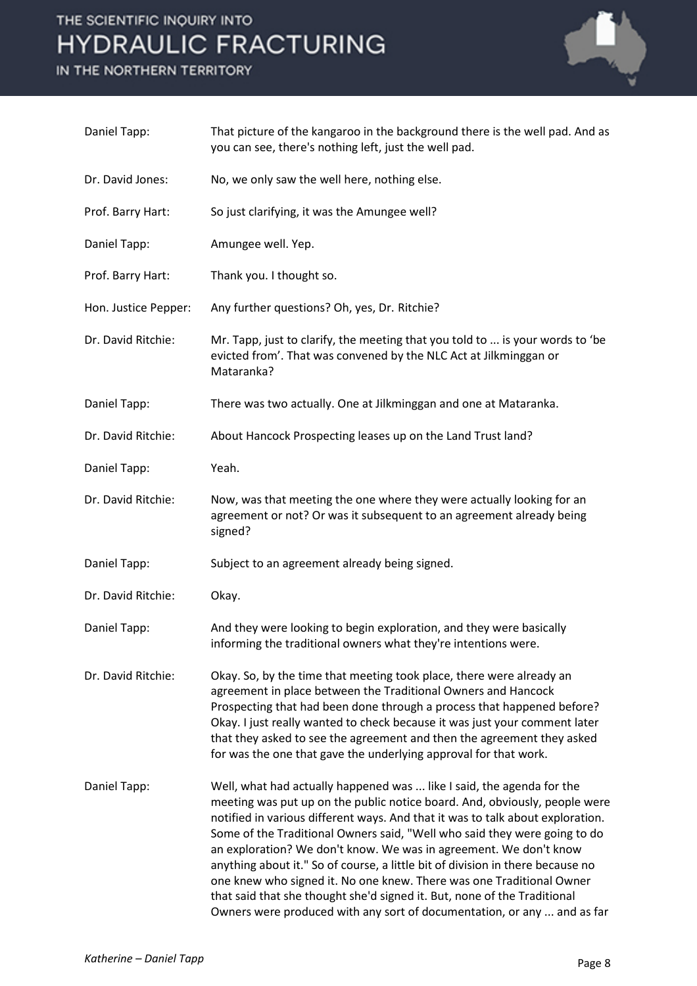IN THE NORTHERN TERRITORY



| Daniel Tapp:         | That picture of the kangaroo in the background there is the well pad. And as<br>you can see, there's nothing left, just the well pad.                                                                                                                                                                                                                                                                                                                                                                                                                                                                                                                                                                    |
|----------------------|----------------------------------------------------------------------------------------------------------------------------------------------------------------------------------------------------------------------------------------------------------------------------------------------------------------------------------------------------------------------------------------------------------------------------------------------------------------------------------------------------------------------------------------------------------------------------------------------------------------------------------------------------------------------------------------------------------|
| Dr. David Jones:     | No, we only saw the well here, nothing else.                                                                                                                                                                                                                                                                                                                                                                                                                                                                                                                                                                                                                                                             |
| Prof. Barry Hart:    | So just clarifying, it was the Amungee well?                                                                                                                                                                                                                                                                                                                                                                                                                                                                                                                                                                                                                                                             |
| Daniel Tapp:         | Amungee well. Yep.                                                                                                                                                                                                                                                                                                                                                                                                                                                                                                                                                                                                                                                                                       |
| Prof. Barry Hart:    | Thank you. I thought so.                                                                                                                                                                                                                                                                                                                                                                                                                                                                                                                                                                                                                                                                                 |
| Hon. Justice Pepper: | Any further questions? Oh, yes, Dr. Ritchie?                                                                                                                                                                                                                                                                                                                                                                                                                                                                                                                                                                                                                                                             |
| Dr. David Ritchie:   | Mr. Tapp, just to clarify, the meeting that you told to  is your words to 'be<br>evicted from'. That was convened by the NLC Act at Jilkminggan or<br>Mataranka?                                                                                                                                                                                                                                                                                                                                                                                                                                                                                                                                         |
| Daniel Tapp:         | There was two actually. One at Jilkminggan and one at Mataranka.                                                                                                                                                                                                                                                                                                                                                                                                                                                                                                                                                                                                                                         |
| Dr. David Ritchie:   | About Hancock Prospecting leases up on the Land Trust land?                                                                                                                                                                                                                                                                                                                                                                                                                                                                                                                                                                                                                                              |
| Daniel Tapp:         | Yeah.                                                                                                                                                                                                                                                                                                                                                                                                                                                                                                                                                                                                                                                                                                    |
| Dr. David Ritchie:   | Now, was that meeting the one where they were actually looking for an<br>agreement or not? Or was it subsequent to an agreement already being<br>signed?                                                                                                                                                                                                                                                                                                                                                                                                                                                                                                                                                 |
| Daniel Tapp:         | Subject to an agreement already being signed.                                                                                                                                                                                                                                                                                                                                                                                                                                                                                                                                                                                                                                                            |
| Dr. David Ritchie:   | Okay.                                                                                                                                                                                                                                                                                                                                                                                                                                                                                                                                                                                                                                                                                                    |
| Daniel Tapp:         | And they were looking to begin exploration, and they were basically<br>informing the traditional owners what they're intentions were.                                                                                                                                                                                                                                                                                                                                                                                                                                                                                                                                                                    |
| Dr. David Ritchie:   | Okay. So, by the time that meeting took place, there were already an<br>agreement in place between the Traditional Owners and Hancock<br>Prospecting that had been done through a process that happened before?<br>Okay. I just really wanted to check because it was just your comment later<br>that they asked to see the agreement and then the agreement they asked<br>for was the one that gave the underlying approval for that work.                                                                                                                                                                                                                                                              |
| Daniel Tapp:         | Well, what had actually happened was  like I said, the agenda for the<br>meeting was put up on the public notice board. And, obviously, people were<br>notified in various different ways. And that it was to talk about exploration.<br>Some of the Traditional Owners said, "Well who said they were going to do<br>an exploration? We don't know. We was in agreement. We don't know<br>anything about it." So of course, a little bit of division in there because no<br>one knew who signed it. No one knew. There was one Traditional Owner<br>that said that she thought she'd signed it. But, none of the Traditional<br>Owners were produced with any sort of documentation, or any  and as far |